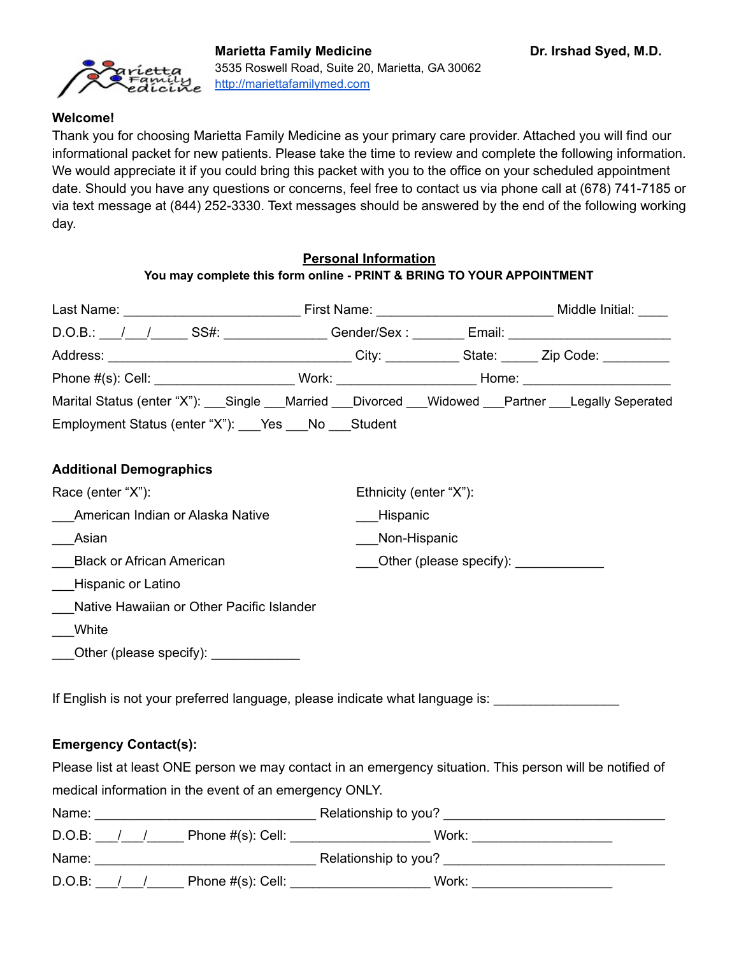#### **Welcome!**

Thank you for choosing Marietta Family Medicine as your primary care provider. Attached you will find our informational packet for new patients. Please take the time to review and complete the following information. We would appreciate it if you could bring this packet with you to the office on your scheduled appointment date. Should you have any questions or concerns, feel free to contact us via phone call at (678) 741-7185 or via text message at (844) 252-3330. Text messages should be answered by the end of the following working day.

# **Personal Information You may complete this form online - PRINT & BRING TO YOUR APPOINTMENT**

| Native Hawaiian or Other Pacific Islander |                                               |                                                    |                                                                                                                                                                                                                                                                                                                                       |
|-------------------------------------------|-----------------------------------------------|----------------------------------------------------|---------------------------------------------------------------------------------------------------------------------------------------------------------------------------------------------------------------------------------------------------------------------------------------------------------------------------------------|
|                                           |                                               |                                                    |                                                                                                                                                                                                                                                                                                                                       |
| Other (please specify):                   |                                               |                                                    |                                                                                                                                                                                                                                                                                                                                       |
|                                           | Employment Status (enter "X"): Yes No Student | Ethnicity (enter "X"):<br>Hispanic<br>Non-Hispanic | D.O.B.: / / / SS#: SS#: Gender/Sex : _ _ _ _ Email: _ _ _ _ _ _ _ _ _ _ _ _ _ _ _<br>Phone #(s): Cell: _________________________Work: __________________________Home: ____________________________<br>Marital Status (enter "X"): Single ___Married ___Divorced ___Widowed ___Partner ___Legally Seperated<br>Other (please specify): |

If English is not your preferred language, please indicate what language is:

#### **Emergency Contact(s):**

Please list at least ONE person we may contact in an emergency situation. This person will be notified of medical information in the event of an emergency ONLY.

| Name:  |  |                      | Relationship to you? |  |
|--------|--|----------------------|----------------------|--|
| D.O.B: |  | Phone $#(s)$ : Cell: | Work:                |  |
| Name:  |  |                      | Relationship to you? |  |
| D.O.B: |  | Phone $#(s)$ : Cell: | Work:                |  |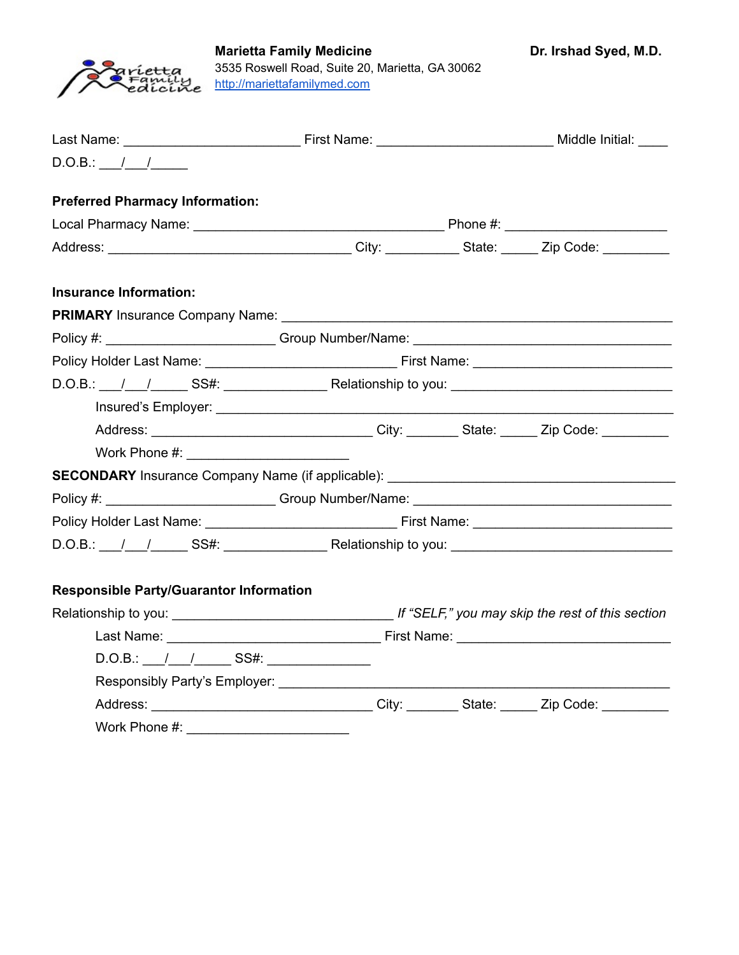

| $D.O.B.:$ / /                                                                     |  |  |
|-----------------------------------------------------------------------------------|--|--|
| <b>Preferred Pharmacy Information:</b>                                            |  |  |
|                                                                                   |  |  |
|                                                                                   |  |  |
| <b>Insurance Information:</b>                                                     |  |  |
|                                                                                   |  |  |
| Policy #: _________________________Group Number/Name: __________________________  |  |  |
|                                                                                   |  |  |
|                                                                                   |  |  |
|                                                                                   |  |  |
|                                                                                   |  |  |
|                                                                                   |  |  |
| SECONDARY Insurance Company Name (if applicable): _______________________________ |  |  |
| Policy #: __________________________Group Number/Name: __________________________ |  |  |
|                                                                                   |  |  |
|                                                                                   |  |  |
|                                                                                   |  |  |
| <b>Responsible Party/Guarantor Information</b>                                    |  |  |
|                                                                                   |  |  |
|                                                                                   |  |  |
| $D.O.B.:$ $1 - 1 - 2S.S.:$                                                        |  |  |
|                                                                                   |  |  |
|                                                                                   |  |  |
| Work Phone #:                                                                     |  |  |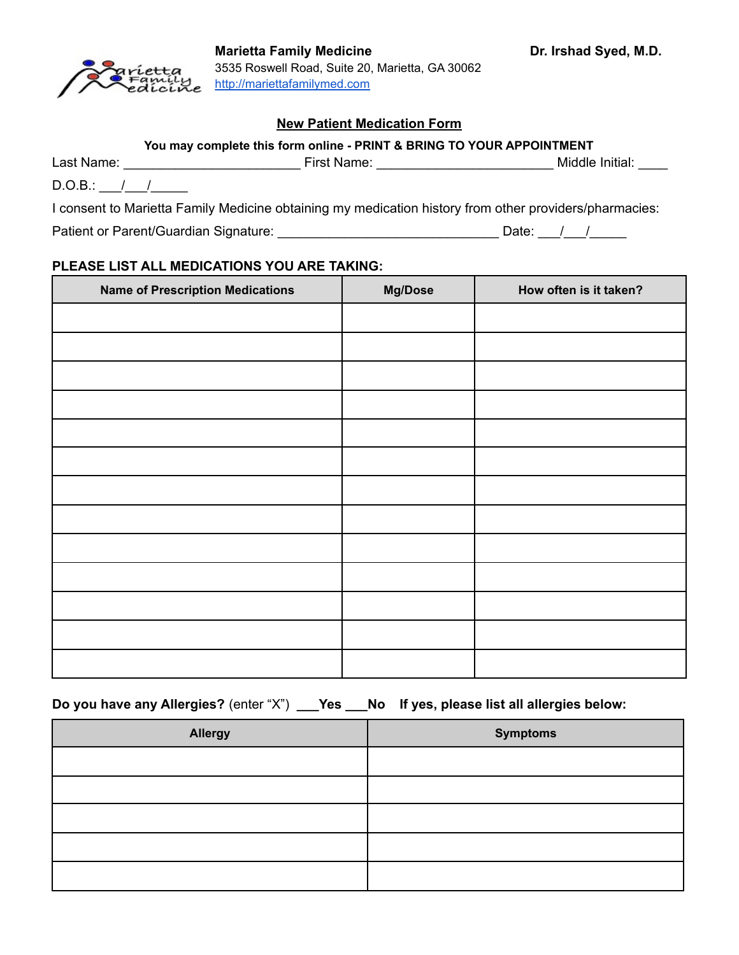

# **New Patient Medication Form**

| Last Name:  | First Name: | Middle Initial: |
|-------------|-------------|-----------------|
| D.O.B.<br>. |             |                 |

I consent to Marietta Family Medicine obtaining my medication history from other providers/pharmacies:

Patient or Parent/Guardian Signature: \_\_\_\_\_\_\_\_\_\_\_\_\_\_\_\_\_\_\_\_\_\_\_\_\_\_\_\_\_\_ Date: \_\_\_/\_\_\_/\_\_\_\_\_

## **PLEASE LIST ALL MEDICATIONS YOU ARE TAKING:**

| <b>Name of Prescription Medications</b> | Mg/Dose | How often is it taken? |
|-----------------------------------------|---------|------------------------|
|                                         |         |                        |
|                                         |         |                        |
|                                         |         |                        |
|                                         |         |                        |
|                                         |         |                        |
|                                         |         |                        |
|                                         |         |                        |
|                                         |         |                        |
|                                         |         |                        |
|                                         |         |                        |
|                                         |         |                        |
|                                         |         |                        |
|                                         |         |                        |

**Do you have any Allergies?** (enter "X") **\_\_\_Yes \_\_\_No If yes, please list all allergies below:**

| <b>Allergy</b> | <b>Symptoms</b> |
|----------------|-----------------|
|                |                 |
|                |                 |
|                |                 |
|                |                 |
|                |                 |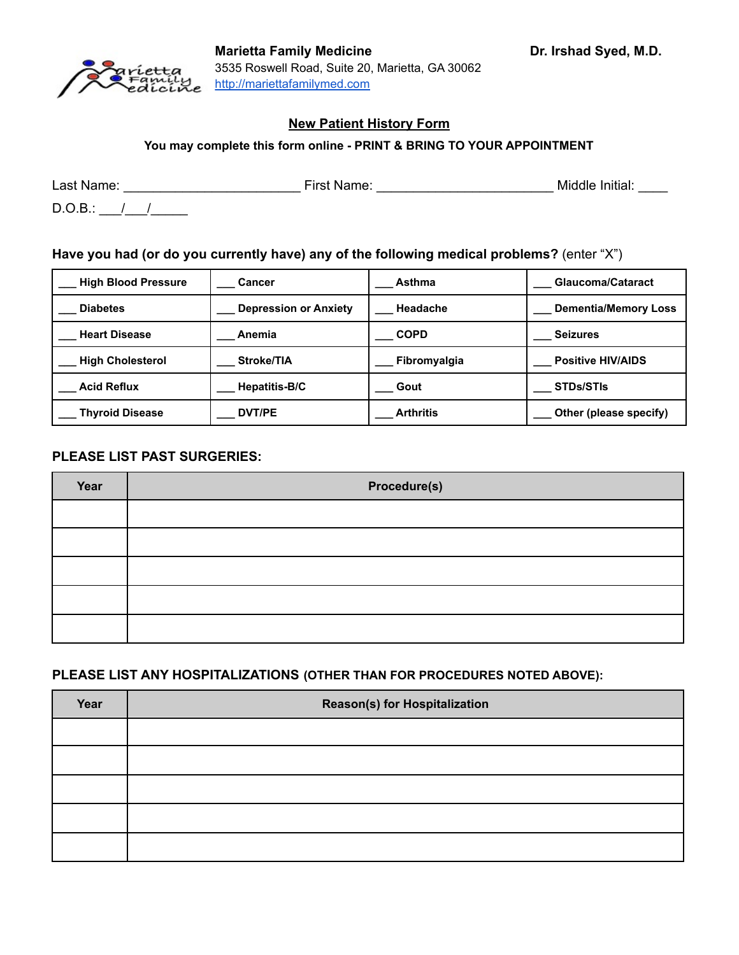

**You may complete this form online - PRINT & BRING TO YOUR APPOINTMENT**

Last Name: \_\_\_\_\_\_\_\_\_\_\_\_\_\_\_\_\_\_\_\_\_\_\_\_ First Name: \_\_\_\_\_\_\_\_\_\_\_\_\_\_\_\_\_\_\_\_\_\_\_\_ Middle Initial: \_\_\_\_

 $D.O.B.:$  / /

# **Have you had (or do you currently have) any of the following medical problems?** (enter "X")

| <b>High Blood Pressure</b> | <b>Cancer</b>                | Asthma           | <b>Glaucoma/Cataract</b>    |
|----------------------------|------------------------------|------------------|-----------------------------|
| <b>Diabetes</b>            | <b>Depression or Anxiety</b> | Headache         | <b>Dementia/Memory Loss</b> |
| <b>Heart Disease</b>       | Anemia                       | <b>COPD</b>      | <b>Seizures</b>             |
| <b>High Cholesterol</b>    | Stroke/TIA                   | Fibromyalgia     | <b>Positive HIV/AIDS</b>    |
| <b>Acid Reflux</b>         | Hepatitis-B/C                | Gout             | <b>STDs/STIs</b>            |
| <b>Thyroid Disease</b>     | DVT/PE                       | <b>Arthritis</b> | Other (please specify)      |

#### **PLEASE LIST PAST SURGERIES:**

| Year | Procedure(s) |
|------|--------------|
|      |              |
|      |              |
|      |              |
|      |              |
|      |              |

#### **PLEASE LIST ANY HOSPITALIZATIONS (OTHER THAN FOR PROCEDURES NOTED ABOVE):**

| Year | <b>Reason(s) for Hospitalization</b> |
|------|--------------------------------------|
|      |                                      |
|      |                                      |
|      |                                      |
|      |                                      |
|      |                                      |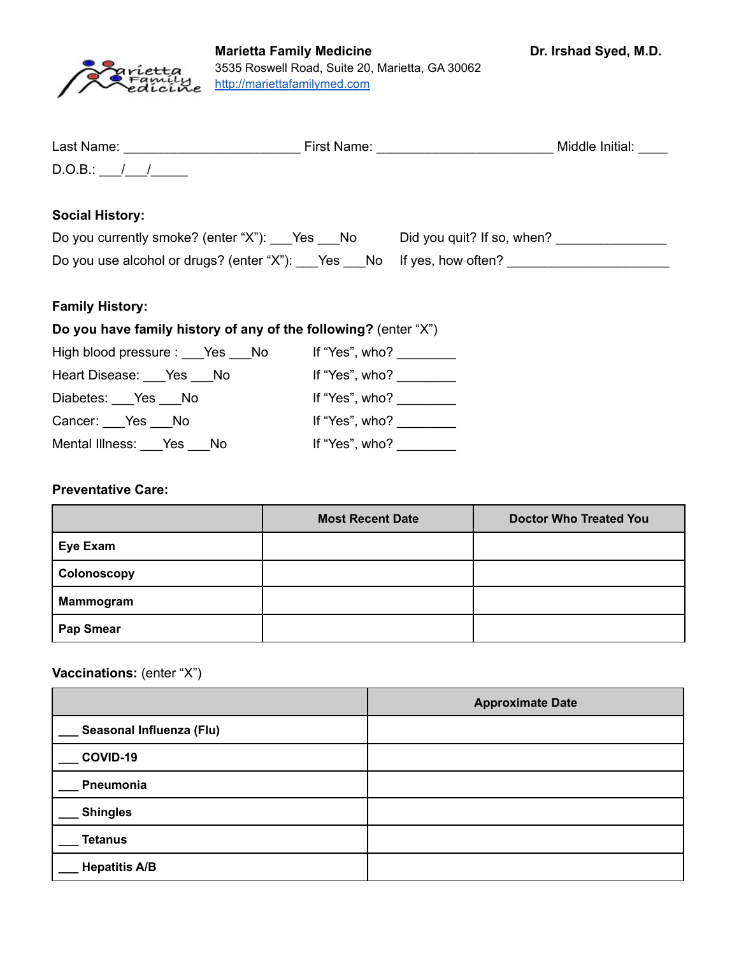

| Last Name: | First Name: | Middle Initial: |
|------------|-------------|-----------------|
| D.O.B.:    |             |                 |

## **Social History:**

| Do you currently smoke? (enter "X"): Yes No                         | Did you guit? If so, when? |
|---------------------------------------------------------------------|----------------------------|
| Do you use alcohol or drugs? (enter "X"): Nes Mo If yes, how often? |                            |

## **Family History:**

# **Do you have family history of any of the following?** (enter "X")

| High blood pressure : ___ Yes ___ No | If "Yes", who? $\frac{1}{\sqrt{1-\frac{1}{2}}}\$ |
|--------------------------------------|--------------------------------------------------|
| Heart Disease: Yes No                | If "Yes", $who?$                                 |
| Diabetes: Yes No                     | If "Yes", who? $\frac{1}{\sqrt{1-\frac{1}{2}}}\$ |
| Cancer: Yes No                       | If "Yes", who?                                   |
| Mental Illness: Yes No               | If "Yes", who?                                   |

#### **Preventative Care:**

|                  | <b>Most Recent Date</b> | <b>Doctor Who Treated You</b> |
|------------------|-------------------------|-------------------------------|
| Eye Exam         |                         |                               |
| Colonoscopy      |                         |                               |
| Mammogram        |                         |                               |
| <b>Pap Smear</b> |                         |                               |

## **Vaccinations:** (enter "X")

|                          | <b>Approximate Date</b> |
|--------------------------|-------------------------|
| Seasonal Influenza (Flu) |                         |
| COVID-19                 |                         |
| Pneumonia                |                         |
| <b>Shingles</b>          |                         |
| <b>Tetanus</b>           |                         |
| <b>Hepatitis A/B</b>     |                         |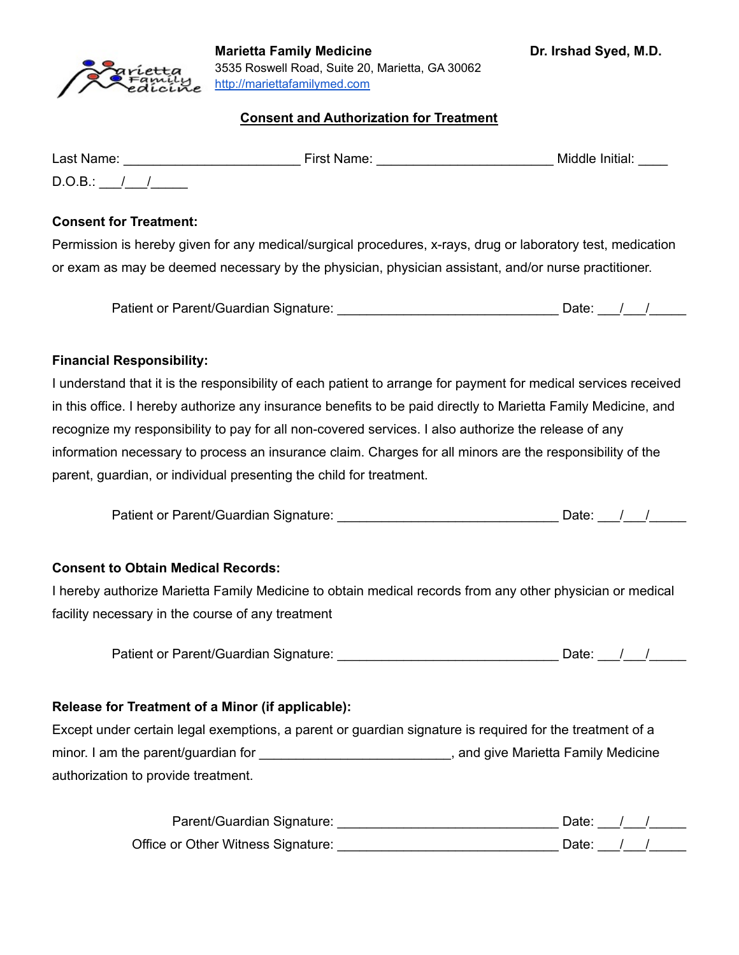

#### **Consent and Authorization for Treatment**

| Last Name: | First Name: | Middle Initial: |
|------------|-------------|-----------------|
| $D.O.B.$ : |             |                 |

#### **Consent for Treatment:**

Permission is hereby given for any medical/surgical procedures, x-rays, drug or laboratory test, medication or exam as may be deemed necessary by the physician, physician assistant, and/or nurse practitioner.

|  | Patient or Parent/Guardian Signature: |  | Date: |  |  |
|--|---------------------------------------|--|-------|--|--|
|--|---------------------------------------|--|-------|--|--|

## **Financial Responsibility:**

I understand that it is the responsibility of each patient to arrange for payment for medical services received in this office. I hereby authorize any insurance benefits to be paid directly to Marietta Family Medicine, and recognize my responsibility to pay for all non-covered services. I also authorize the release of any information necessary to process an insurance claim. Charges for all minors are the responsibility of the parent, guardian, or individual presenting the child for treatment.

| Patient or Parent/Guardian Signature: | Date: |  |
|---------------------------------------|-------|--|
|                                       |       |  |

#### **Consent to Obtain Medical Records:**

I hereby authorize Marietta Family Medicine to obtain medical records from any other physician or medical facility necessary in the course of any treatment

Patient or Parent/Guardian Signature: \_\_\_\_\_\_\_\_\_\_\_\_\_\_\_\_\_\_\_\_\_\_\_\_\_\_\_\_\_\_ Date: \_\_\_/\_\_\_/\_\_\_\_\_

#### **Release for Treatment of a Minor (if applicable):**

Except under certain legal exemptions, a parent or guardian signature is required for the treatment of a minor. I am the parent/guardian for \_\_\_\_\_\_\_\_\_\_\_\_\_\_\_\_\_\_\_\_\_\_\_\_\_\_\_\_\_\_, and give Marietta Family Medicine authorization to provide treatment.

| Parent/Guardian Signature:         | Date: . |  |
|------------------------------------|---------|--|
| Office or Other Witness Signature: | Date:   |  |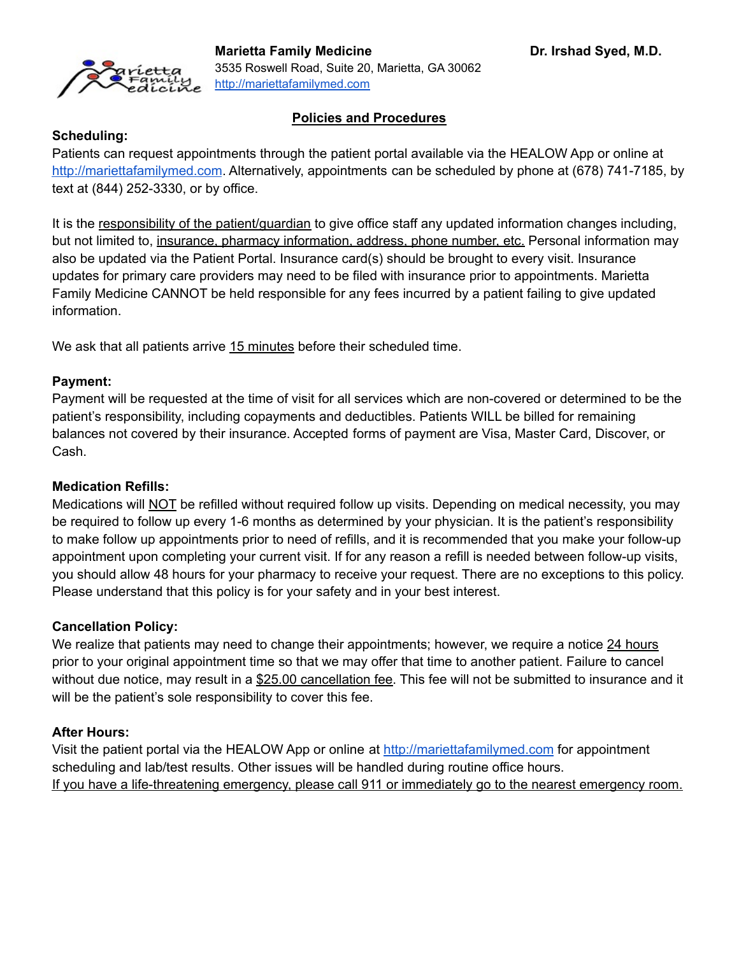

## **Policies and Procedures**

#### **Scheduling:**

Patients can request appointments through the patient portal available via the HEALOW App or online at <http://mariettafamilymed.com>. Alternatively, appointments can be scheduled by phone at (678) 741-7185, by text at (844) 252-3330, or by office.

It is the responsibility of the patient/guardian to give office staff any updated information changes including, but not limited to, insurance, pharmacy information, address, phone number, etc. Personal information may also be updated via the Patient Portal. Insurance card(s) should be brought to every visit. Insurance updates for primary care providers may need to be filed with insurance prior to appointments. Marietta Family Medicine CANNOT be held responsible for any fees incurred by a patient failing to give updated information.

We ask that all patients arrive 15 minutes before their scheduled time.

## **Payment:**

Payment will be requested at the time of visit for all services which are non-covered or determined to be the patient's responsibility, including copayments and deductibles. Patients WILL be billed for remaining balances not covered by their insurance. Accepted forms of payment are Visa, Master Card, Discover, or Cash.

#### **Medication Refills:**

Medications will NOT be refilled without required follow up visits. Depending on medical necessity, you may be required to follow up every 1-6 months as determined by your physician. It is the patient's responsibility to make follow up appointments prior to need of refills, and it is recommended that you make your follow-up appointment upon completing your current visit. If for any reason a refill is needed between follow-up visits, you should allow 48 hours for your pharmacy to receive your request. There are no exceptions to this policy. Please understand that this policy is for your safety and in your best interest.

#### **Cancellation Policy:**

We realize that patients may need to change their appointments; however, we require a notice 24 hours prior to your original appointment time so that we may offer that time to another patient. Failure to cancel without due notice, may result in a \$25.00 cancellation fee. This fee will not be submitted to insurance and it will be the patient's sole responsibility to cover this fee.

#### **After Hours:**

Visit the patient portal via the HEALOW App or online at <http://mariettafamilymed.com> for appointment scheduling and lab/test results. Other issues will be handled during routine office hours. If you have a life-threatening emergency, please call 911 or immediately go to the nearest emergency room.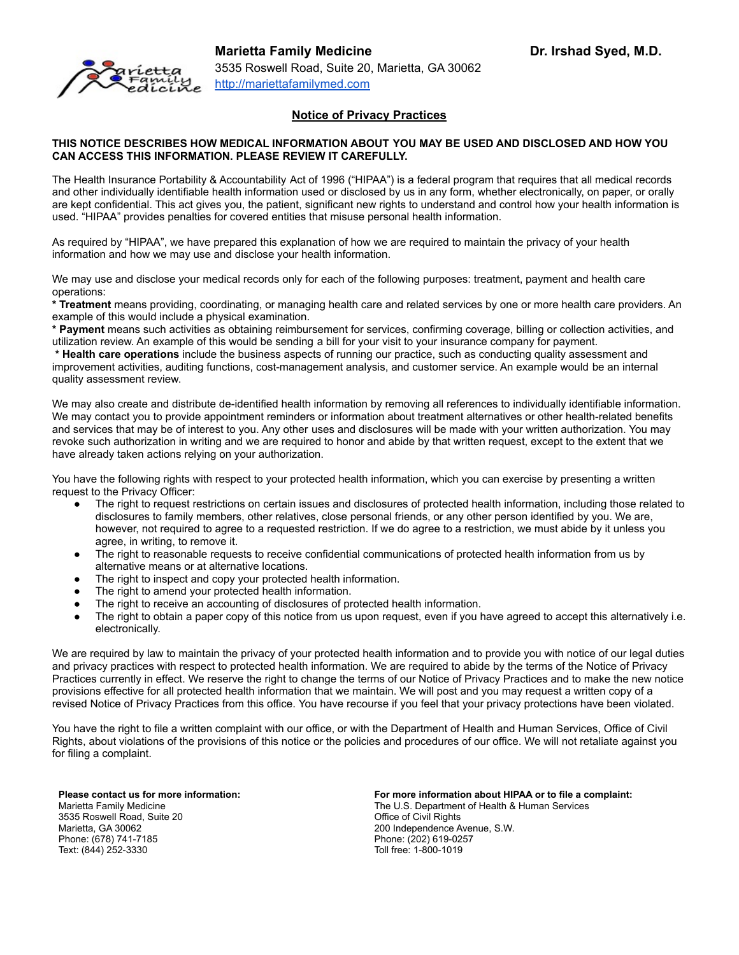#### **Notice of Privacy Practices**

#### **THIS NOTICE DESCRIBES HOW MEDICAL INFORMATION ABOUT YOU MAY BE USED AND DISCLOSED AND HOW YOU CAN ACCESS THIS INFORMATION. PLEASE REVIEW IT CAREFULLY.**

The Health Insurance Portability & Accountability Act of 1996 ("HIPAA") is a federal program that requires that all medical records and other individually identifiable health information used or disclosed by us in any form, whether electronically, on paper, or orally are kept confidential. This act gives you, the patient, significant new rights to understand and control how your health information is used. "HIPAA" provides penalties for covered entities that misuse personal health information.

As required by "HIPAA", we have prepared this explanation of how we are required to maintain the privacy of your health information and how we may use and disclose your health information.

We may use and disclose your medical records only for each of the following purposes: treatment, payment and health care operations:

**\* Treatment** means providing, coordinating, or managing health care and related services by one or more health care providers. An example of this would include a physical examination.

**\* Payment** means such activities as obtaining reimbursement for services, confirming coverage, billing or collection activities, and utilization review. An example of this would be sending a bill for your visit to your insurance company for payment.

**\* Health care operations** include the business aspects of running our practice, such as conducting quality assessment and improvement activities, auditing functions, cost-management analysis, and customer service. An example would be an internal quality assessment review.

We may also create and distribute de-identified health information by removing all references to individually identifiable information. We may contact you to provide appointment reminders or information about treatment alternatives or other health-related benefits and services that may be of interest to you. Any other uses and disclosures will be made with your written authorization. You may revoke such authorization in writing and we are required to honor and abide by that written request, except to the extent that we have already taken actions relying on your authorization.

You have the following rights with respect to your protected health information, which you can exercise by presenting a written request to the Privacy Officer:

- The right to request restrictions on certain issues and disclosures of protected health information, including those related to disclosures to family members, other relatives, close personal friends, or any other person identified by you. We are, however, not required to agree to a requested restriction. If we do agree to a restriction, we must abide by it unless you agree, in writing, to remove it.
- The right to reasonable requests to receive confidential communications of protected health information from us by alternative means or at alternative locations.
- The right to inspect and copy your protected health information.
- The right to amend your protected health information.
- The right to receive an accounting of disclosures of protected health information.
- The right to obtain a paper copy of this notice from us upon request, even if you have agreed to accept this alternatively i.e. electronically.

We are required by law to maintain the privacy of your protected health information and to provide you with notice of our legal duties and privacy practices with respect to protected health information. We are required to abide by the terms of the Notice of Privacy Practices currently in effect. We reserve the right to change the terms of our Notice of Privacy Practices and to make the new notice provisions effective for all protected health information that we maintain. We will post and you may request a written copy of a revised Notice of Privacy Practices from this office. You have recourse if you feel that your privacy protections have been violated.

You have the right to file a written complaint with our office, or with the Department of Health and Human Services, Office of Civil Rights, about violations of the provisions of this notice or the policies and procedures of our office. We will not retaliate against you for filing a complaint.

**Please contact us for more information:** Marietta Family Medicine 3535 Roswell Road, Suite 20 Marietta, GA 30062 Phone: (678) 741-7185 Text: (844) 252-3330

**For more information about HIPAA or to file a complaint:** The U.S. Department of Health & Human Services Office of Civil Rights 200 Independence Avenue, S.W. Phone: (202) 619-0257 Toll free: 1-800-1019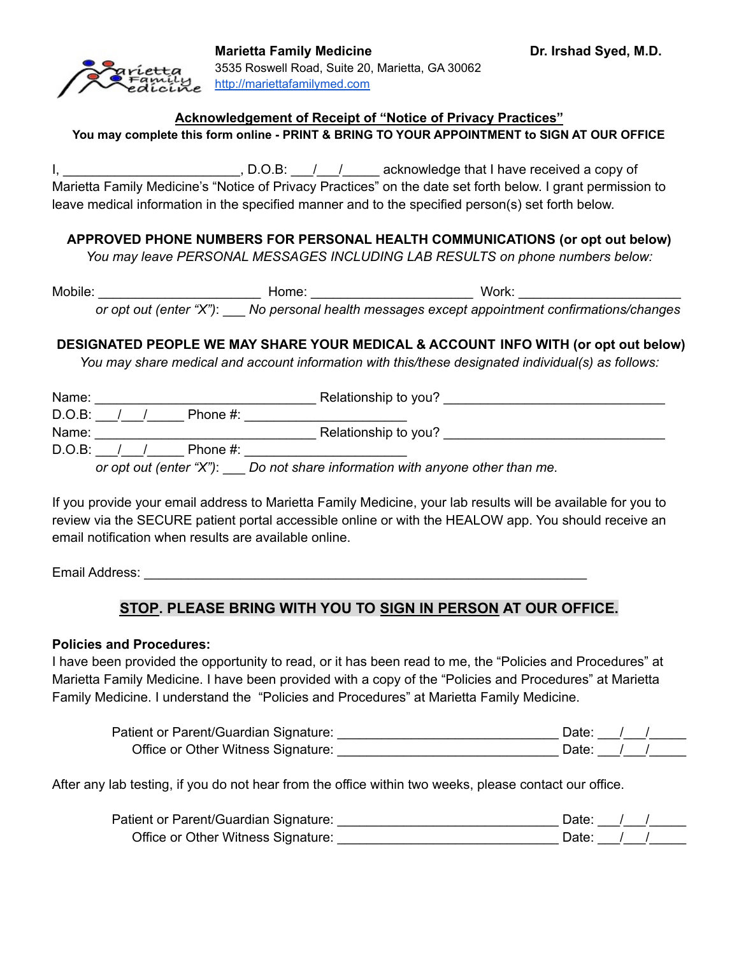#### **Acknowledgement of Receipt of "Notice of Privacy Practices"**

**You may complete this form online - PRINT & BRING TO YOUR APPOINTMENT to SIGN AT OUR OFFICE**

I, \_\_\_\_\_\_\_\_\_\_\_\_\_\_\_\_\_\_\_\_\_\_\_\_\_\_\_\_, D.O.B: \_\_\_/\_\_\_/ \_\_\_\_\_\_ acknowledge that I have received a copy of Marietta Family Medicine's "Notice of Privacy Practices" on the date set forth below. I grant permission to leave medical information in the specified manner and to the specified person(s) set forth below.

## **APPROVED PHONE NUMBERS FOR PERSONAL HEALTH COMMUNICATIONS (or opt out below)**

*You may leave PERSONAL MESSAGES INCLUDING LAB RESULTS on phone numbers below:*

Mobile: \_\_\_\_\_\_\_\_\_\_\_\_\_\_\_\_\_\_\_\_\_\_\_\_\_\_\_\_\_\_\_\_\_\_ Home: \_\_\_\_\_\_\_\_\_\_\_\_\_\_\_\_\_\_\_\_\_\_\_\_\_\_\_\_\_\_\_\_ Work: \_\_\_\_\_\_\_\_\_\_\_\_\_\_\_\_\_\_\_\_\_ *or opt out (enter "X")*: \_\_\_ *No personal health messages except appointment confirmations/changes*

## **DESIGNATED PEOPLE WE MAY SHARE YOUR MEDICAL & ACCOUNT INFO WITH (or opt out below)**

*You may share medical and account information with this/these designated individual(s) as follows:*

| Name:     |  |             | Relationship to you? |  |
|-----------|--|-------------|----------------------|--|
| $D.O.B$ : |  | Phone $#$ : |                      |  |
| Name:     |  |             | Relationship to you? |  |
| $D.O.B$ : |  | Phone #:    |                      |  |
|           |  |             |                      |  |

*or opt out (enter "X")*: \_\_\_ *Do not share information with anyone other than me.*

If you provide your email address to Marietta Family Medicine, your lab results will be available for you to review via the SECURE patient portal accessible online or with the HEALOW app. You should receive an email notification when results are available online.

Email Address: \_\_\_\_\_\_\_\_\_\_\_\_\_\_\_\_\_\_\_\_\_\_\_\_\_\_\_\_\_\_\_\_\_\_\_\_\_\_\_\_\_\_\_\_\_\_\_\_\_\_\_\_\_\_\_\_\_\_\_\_

# **STOP. PLEASE BRING WITH YOU TO SIGN IN PERSON AT OUR OFFICE.**

#### **Policies and Procedures:**

I have been provided the opportunity to read, or it has been read to me, the "Policies and Procedures" at Marietta Family Medicine. I have been provided with a copy of the "Policies and Procedures" at Marietta Family Medicine. I understand the "Policies and Procedures" at Marietta Family Medicine.

| Patient or Parent/Guardian Signature: | Date: |  |  |
|---------------------------------------|-------|--|--|
| Office or Other Witness Signature:    | Date: |  |  |

After any lab testing, if you do not hear from the office within two weeks, please contact our office.

| Patient or Parent/Guardian Signature: | Date: |  |  |
|---------------------------------------|-------|--|--|
| Office or Other Witness Signature:    | Date: |  |  |